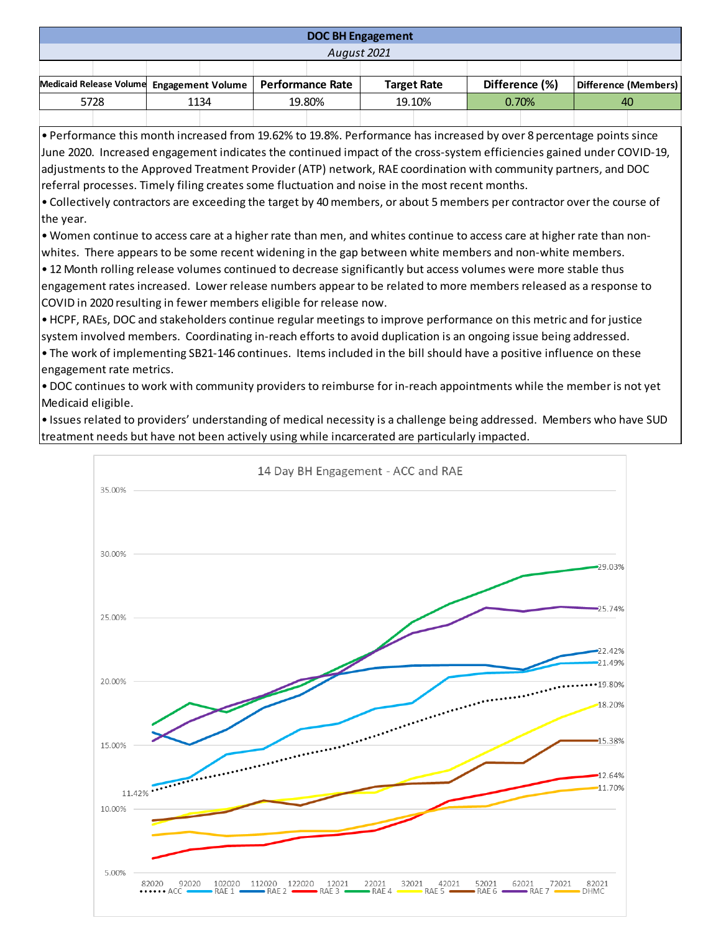## **DOC BH Engagement**

*August 2021*

| Medicaid Release Volume Engagement Volume   Performance Rate |  |      |  |        |  | <b>Target Rate</b> |  | Difference (%) |  | Difference (Members) |  |
|--------------------------------------------------------------|--|------|--|--------|--|--------------------|--|----------------|--|----------------------|--|
| 5728                                                         |  | 1134 |  | 19.80% |  | 19.10%             |  | 0.70%          |  | 40                   |  |
|                                                              |  |      |  |        |  |                    |  |                |  |                      |  |

• Performance this month increased from 19.62% to 19.8%. Performance has increased by over 8 percentage points since June 2020. Increased engagement indicates the continued impact of the cross-system efficiencies gained under COVID-19, adjustments to the Approved Treatment Provider (ATP) network, RAE coordination with community partners, and DOC referral processes. Timely filing creates some fluctuation and noise in the most recent months.

• Collectively contractors are exceeding the target by 40 members, or about 5 members per contractor over the course of the year.

• Women continue to access care at a higher rate than men, and whites continue to access care at higher rate than nonwhites. There appears to be some recent widening in the gap between white members and non-white members.

• 12 Month rolling release volumes continued to decrease significantly but access volumes were more stable thus engagement rates increased. Lower release numbers appear to be related to more members released as a response to COVID in 2020 resulting in fewer members eligible for release now.

• HCPF, RAEs, DOC and stakeholders continue regular meetings to improve performance on this metric and for justice system involved members. Coordinating in-reach efforts to avoid duplication is an ongoing issue being addressed. • The work of implementing SB21-146 continues. Items included in the bill should have a positive influence on these engagement rate metrics.

• DOC continues to work with community providers to reimburse for in-reach appointments while the member is not yet Medicaid eligible.

• Issues related to providers' understanding of medical necessity is a challenge being addressed. Members who have SUD treatment needs but have not been actively using while incarcerated are particularly impacted.

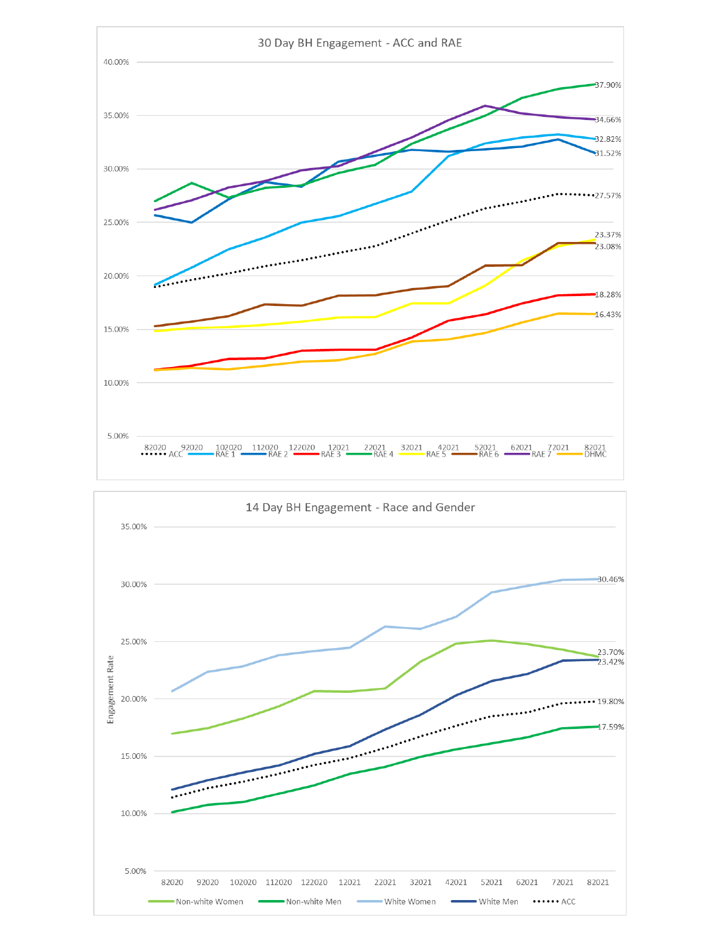